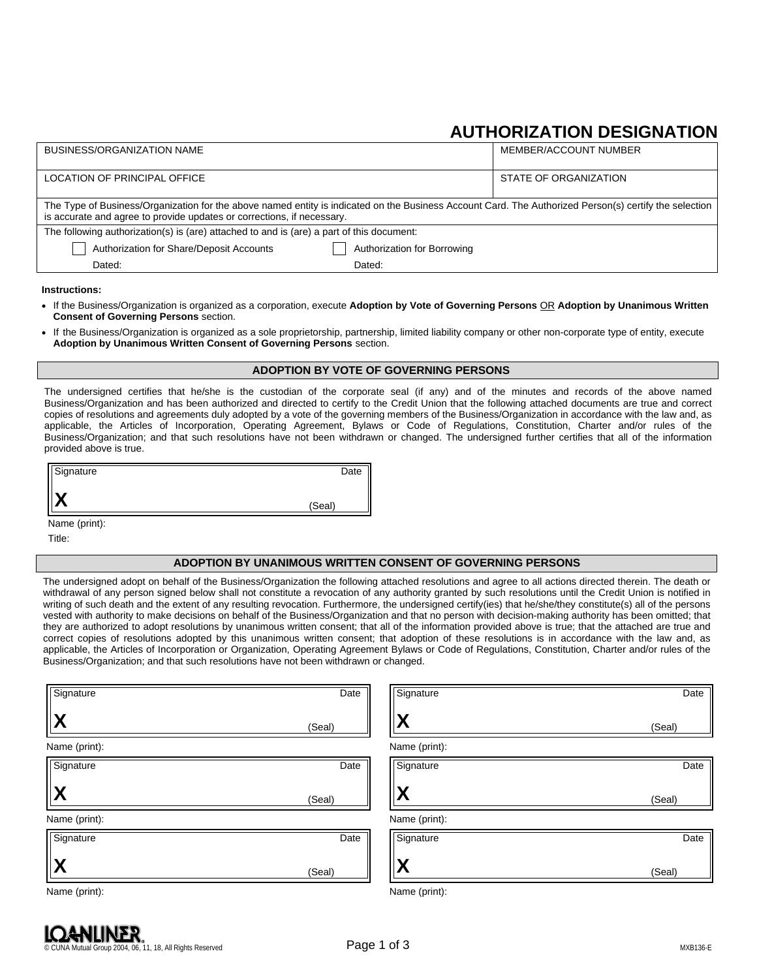# **AUTHORIZATION DESIGNATION**

| <b>BUSINESS/ORGANIZATION NAME</b>                                                                                                                                                                                                |                             | MEMBER/ACCOUNT NUMBER |  |  |
|----------------------------------------------------------------------------------------------------------------------------------------------------------------------------------------------------------------------------------|-----------------------------|-----------------------|--|--|
| LOCATION OF PRINCIPAL OFFICE                                                                                                                                                                                                     |                             | STATE OF ORGANIZATION |  |  |
| The Type of Business/Organization for the above named entity is indicated on the Business Account Card. The Authorized Person(s) certify the selection<br>is accurate and agree to provide updates or corrections, if necessary. |                             |                       |  |  |
| The following authorization(s) is (are) attached to and is (are) a part of this document:                                                                                                                                        |                             |                       |  |  |
| Authorization for Share/Deposit Accounts                                                                                                                                                                                         | Authorization for Borrowing |                       |  |  |
| Dated:                                                                                                                                                                                                                           | Dated:                      |                       |  |  |
|                                                                                                                                                                                                                                  |                             |                       |  |  |

#### **Instructions:**

- If the Business/Organization is organized as a corporation, execute **Adoption by Vote of Governing Persons** OR **Adoption by Unanimous Written Consent of Governing Persons** section.
- If the Business/Organization is organized as a sole proprietorship, partnership, limited liability company or other non-corporate type of entity, execute **Adoption by Unanimous Written Consent of Governing Persons** section.

### **ADOPTION BY VOTE OF GOVERNING PERSONS**

The undersigned certifies that he/she is the custodian of the corporate seal (if any) and of the minutes and records of the above named Business/Organization and has been authorized and directed to certify to the Credit Union that the following attached documents are true and correct copies of resolutions and agreements duly adopted by a vote of the governing members of the Business/Organization in accordance with the law and, as applicable, the Articles of Incorporation, Operating Agreement, Bylaws or Code of Regulations, Constitution, Charter and/or rules of the Business/Organization; and that such resolutions have not been withdrawn or changed. The undersigned further certifies that all of the information provided above is true.

| Signature                   | Date   |
|-----------------------------|--------|
| v<br>$\boldsymbol{\Lambda}$ | (Seal) |

Name (print):

Title:

### **ADOPTION BY UNANIMOUS WRITTEN CONSENT OF GOVERNING PERSONS**

The undersigned adopt on behalf of the Business/Organization the following attached resolutions and agree to all actions directed therein. The death or withdrawal of any person signed below shall not constitute a revocation of any authority granted by such resolutions until the Credit Union is notified in writing of such death and the extent of any resulting revocation. Furthermore, the undersigned certify(ies) that he/she/they constitute(s) all of the persons vested with authority to make decisions on behalf of the Business/Organization and that no person with decision-making authority has been omitted; that they are authorized to adopt resolutions by unanimous written consent; that all of the information provided above is true; that the attached are true and correct copies of resolutions adopted by this unanimous written consent; that adoption of these resolutions is in accordance with the law and, as applicable, the Articles of Incorporation or Organization, Operating Agreement Bylaws or Code of Regulations, Constitution, Charter and/or rules of the Business/Organization; and that such resolutions have not been withdrawn or changed.

| Signature      | Date   | Signature              | Date   |
|----------------|--------|------------------------|--------|
| <b>X</b>       | (Seal) | $\boldsymbol{\wedge}$  | (Seal) |
| Name (print):  |        | Name (print):          |        |
| Signature      | Date   | Signature              | Date   |
| $ \mathsf{X} $ | (Seal) | $\boldsymbol{\Lambda}$ | (Seal) |
| Name (print):  |        | Name (print):          |        |
| Signature      | Date   | Signature              | Date   |
| <u> X</u>      | (Seal) | Χ                      | (Seal) |
| Name (print):  |        | Name (print):          |        |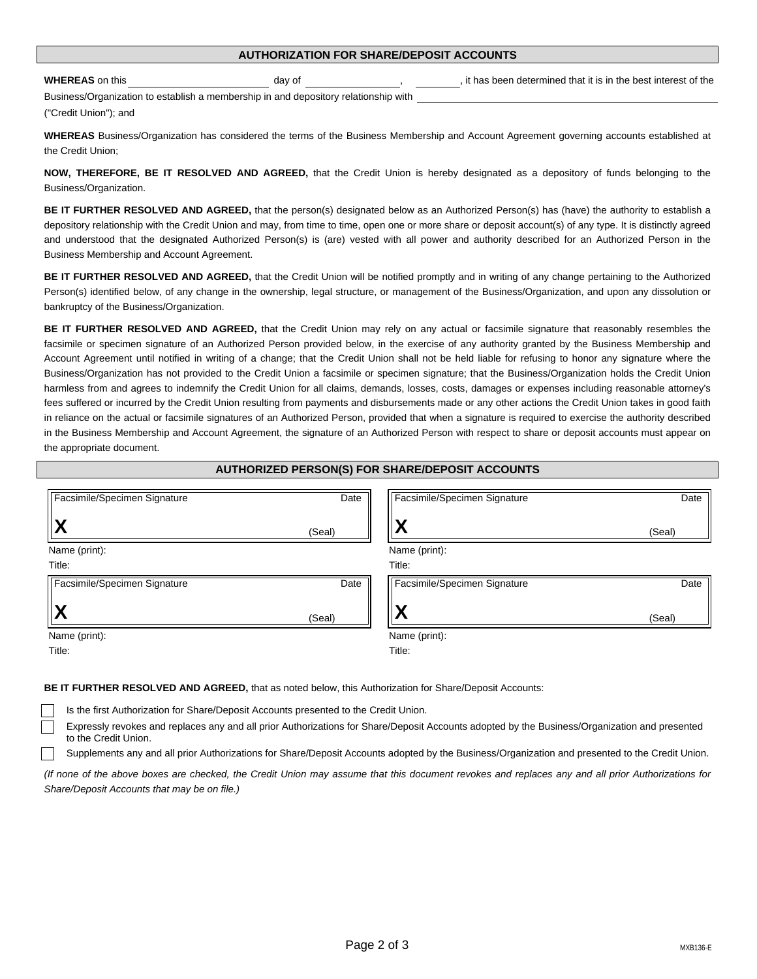| Supplements any and all prior Authorizations for Share/Deposit Accounts adopted by the Business/Organization and presented to the Credit Union. |  |  |
|-------------------------------------------------------------------------------------------------------------------------------------------------|--|--|
| and of the above boyer are checked, the Credit Union may assume that this decument revokes and replaces any and all prior Authorizations for    |  |  |

Expressly revokes and replaces any and all prior Authorizations for Share/Deposit Accounts adopted by the Business/Organization and presented

(If none of the above boxes are checked, the Credit Union may assume that this document revokes and replaces any and all prior Authorizations for *Share/Deposit Accounts that may be on file.)*

Is the first Authorization for Share/Deposit Accounts presented to the Credit Union.

## Page 2 of 3 MXB136-E

|  | ł |  |
|--|---|--|
|  |   |  |

### **AUTHORIZATION FOR SHARE/DEPOSIT ACCOUNTS**

**WHEREAS** on this day of day of the best interest of the set interest of the day of the best interest of the best interest of the

Business/Organization to establish a membership in and depository relationship with ("Credit Union"); and

**WHEREAS** Business/Organization has considered the terms of the Business Membership and Account Agreement governing accounts established at the Credit Union;

**NOW, THEREFORE, BE IT RESOLVED AND AGREED,** that the Credit Union is hereby designated as a depository of funds belonging to the Business/Organization.

**BE IT FURTHER RESOLVED AND AGREED,** that the person(s) designated below as an Authorized Person(s) has (have) the authority to establish a depository relationship with the Credit Union and may, from time to time, open one or more share or deposit account(s) of any type. It is distinctly agreed and understood that the designated Authorized Person(s) is (are) vested with all power and authority described for an Authorized Person in the Business Membership and Account Agreement.

**BE IT FURTHER RESOLVED AND AGREED,** that the Credit Union will be notified promptly and in writing of any change pertaining to the Authorized Person(s) identified below, of any change in the ownership, legal structure, or management of the Business/Organization, and upon any dissolution or bankruptcy of the Business/Organization.

**BE IT FURTHER RESOLVED AND AGREED,** that the Credit Union may rely on any actual or facsimile signature that reasonably resembles the facsimile or specimen signature of an Authorized Person provided below, in the exercise of any authority granted by the Business Membership and Account Agreement until notified in writing of a change; that the Credit Union shall not be held liable for refusing to honor any signature where the Business/Organization has not provided to the Credit Union a facsimile or specimen signature; that the Business/Organization holds the Credit Union harmless from and agrees to indemnify the Credit Union for all claims, demands, losses, costs, damages or expenses including reasonable attorney's fees suffered or incurred by the Credit Union resulting from payments and disbursements made or any other actions the Credit Union takes in good faith in reliance on the actual or facsimile signatures of an Authorized Person, provided that when a signature is required to exercise the authority described in the Business Membership and Account Agreement, the signature of an Authorized Person with respect to share or deposit accounts must appear on the appropriate document.

### **AUTHORIZED PERSON(S) FOR SHARE/DEPOSIT ACCOUNTS**

| Facsimile/Specimen Signature | Date   | Facsimile/Specimen Signature | Date   |
|------------------------------|--------|------------------------------|--------|
|                              | (Seal) |                              | (Seal) |
| Name (print):                |        | Name (print):                |        |
| Title:                       |        | Title:                       |        |
| Facsimile/Specimen Signature | Date   | Facsimile/Specimen Signature | Date   |
|                              | (Seal) | W                            | (Seal) |
| Name (print):                |        | Name (print):                |        |
| Title:                       |        | Title:                       |        |

**BE IT FURTHER RESOLVED AND AGREED,** that as noted below, this Authorization for Share/Deposit Accounts:

to the Credit Union.